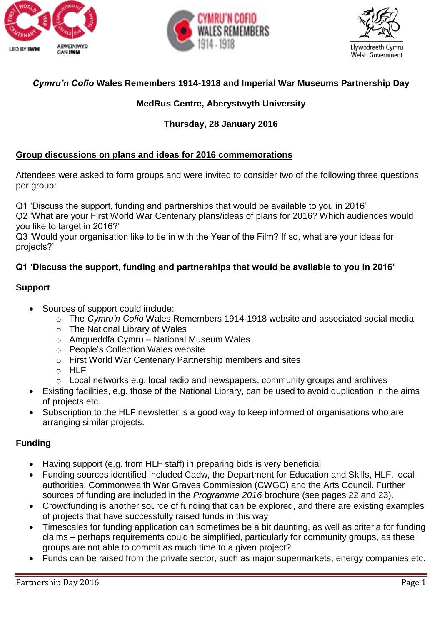





# *Cymru'n Cofio* **Wales Remembers 1914-1918 and Imperial War Museums Partnership Day**

# **MedRus Centre, Aberystwyth University**

# **Thursday, 28 January 2016**

### **Group discussions on plans and ideas for 2016 commemorations**

Attendees were asked to form groups and were invited to consider two of the following three questions per group:

Q1 'Discuss the support, funding and partnerships that would be available to you in 2016'

Q2 'What are your First World War Centenary plans/ideas of plans for 2016? Which audiences would you like to target in 2016?'

Q3 'Would your organisation like to tie in with the Year of the Film? If so, what are your ideas for projects?'

# **Q1 'Discuss the support, funding and partnerships that would be available to you in 2016'**

### **Support**

- Sources of support could include:
	- o The *Cymru'n Cofio* Wales Remembers 1914-1918 website and associated social media
	- o The National Library of Wales
	- o Amgueddfa Cymru National Museum Wales
	- o People's Collection Wales website
	- o First World War Centenary Partnership members and sites
	- o HLF
	- o Local networks e.g. local radio and newspapers, community groups and archives
- Existing facilities, e.g. those of the National Library, can be used to avoid duplication in the aims of projects etc.
- Subscription to the HLF newsletter is a good way to keep informed of organisations who are arranging similar projects.

# **Funding**

- Having support (e.g. from HLF staff) in preparing bids is very beneficial
- Funding sources identified included Cadw, the Department for Education and Skills, HLF, local authorities, Commonwealth War Graves Commission (CWGC) and the Arts Council. Further sources of funding are included in the *Programme 2016* brochure (see pages 22 and 23).
- Crowdfunding is another source of funding that can be explored, and there are existing examples of projects that have successfully raised funds in this way
- Timescales for funding application can sometimes be a bit daunting, as well as criteria for funding claims – perhaps requirements could be simplified, particularly for community groups, as these groups are not able to commit as much time to a given project?
- Funds can be raised from the private sector, such as major supermarkets, energy companies etc.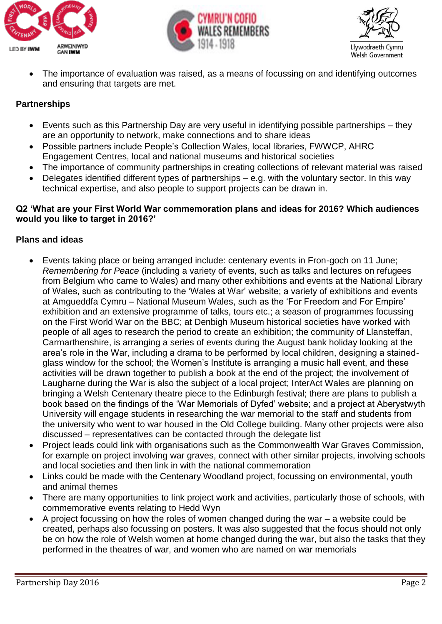





 The importance of evaluation was raised, as a means of focussing on and identifying outcomes and ensuring that targets are met.

### **Partnerships**

- Events such as this Partnership Day are very useful in identifying possible partnerships they are an opportunity to network, make connections and to share ideas
- Possible partners include People's Collection Wales, local libraries, FWWCP, AHRC Engagement Centres, local and national museums and historical societies
- The importance of community partnerships in creating collections of relevant material was raised
- Delegates identified different types of partnerships e.g. with the voluntary sector. In this way technical expertise, and also people to support projects can be drawn in.

#### **Q2 'What are your First World War commemoration plans and ideas for 2016? Which audiences would you like to target in 2016?'**

#### **Plans and ideas**

- Events taking place or being arranged include: centenary events in Fron-goch on 11 June; *Remembering for Peace* (including a variety of events, such as talks and lectures on refugees from Belgium who came to Wales) and many other exhibitions and events at the National Library of Wales, such as contributing to the 'Wales at War' website; a variety of exhibitions and events at Amgueddfa Cymru – National Museum Wales, such as the 'For Freedom and For Empire' exhibition and an extensive programme of talks, tours etc.; a season of programmes focussing on the First World War on the BBC; at Denbigh Museum historical societies have worked with people of all ages to research the period to create an exhibition; the community of Llansteffan, Carmarthenshire, is arranging a series of events during the August bank holiday looking at the area's role in the War, including a drama to be performed by local children, designing a stainedglass window for the school; the Women's Institute is arranging a music hall event, and these activities will be drawn together to publish a book at the end of the project; the involvement of Laugharne during the War is also the subject of a local project; InterAct Wales are planning on bringing a Welsh Centenary theatre piece to the Edinburgh festival; there are plans to publish a book based on the findings of the 'War Memorials of Dyfed' website; and a project at Aberystwyth University will engage students in researching the war memorial to the staff and students from the university who went to war housed in the Old College building. Many other projects were also discussed – representatives can be contacted through the delegate list
- Project leads could link with organisations such as the Commonwealth War Graves Commission, for example on project involving war graves, connect with other similar projects, involving schools and local societies and then link in with the national commemoration
- Links could be made with the Centenary Woodland project, focussing on environmental, youth and animal themes
- There are many opportunities to link project work and activities, particularly those of schools, with commemorative events relating to Hedd Wyn
- A project focussing on how the roles of women changed during the war a website could be created, perhaps also focussing on posters. It was also suggested that the focus should not only be on how the role of Welsh women at home changed during the war, but also the tasks that they performed in the theatres of war, and women who are named on war memorials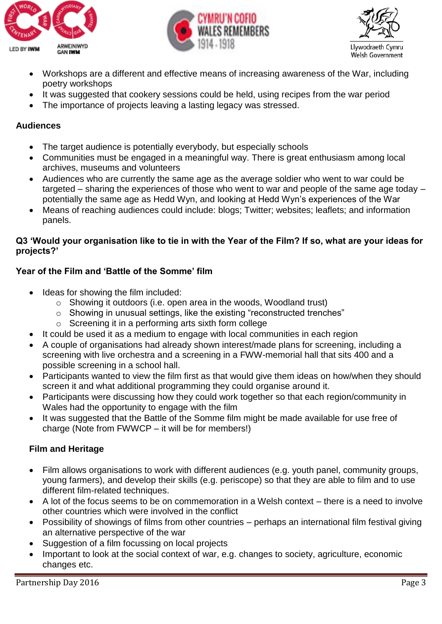





- Workshops are a different and effective means of increasing awareness of the War, including poetry workshops
- It was suggested that cookery sessions could be held, using recipes from the war period
- The importance of projects leaving a lasting legacy was stressed.

# **Audiences**

- The target audience is potentially everybody, but especially schools
- Communities must be engaged in a meaningful way. There is great enthusiasm among local archives, museums and volunteers
- Audiences who are currently the same age as the average soldier who went to war could be targeted – sharing the experiences of those who went to war and people of the same age today – potentially the same age as Hedd Wyn, and looking at Hedd Wyn's experiences of the War
- Means of reaching audiences could include: blogs; Twitter; websites; leaflets; and information panels.

# **Q3 'Would your organisation like to tie in with the Year of the Film? If so, what are your ideas for projects?'**

# **Year of the Film and 'Battle of the Somme' film**

- Ideas for showing the film included:
	- o Showing it outdoors (i.e. open area in the woods, Woodland trust)
	- o Showing in unusual settings, like the existing "reconstructed trenches"
	- o Screening it in a performing arts sixth form college
- It could be used it as a medium to engage with local communities in each region
- A couple of organisations had already shown interest/made plans for screening, including a screening with live orchestra and a screening in a FWW-memorial hall that sits 400 and a possible screening in a school hall.
- Participants wanted to view the film first as that would give them ideas on how/when they should screen it and what additional programming they could organise around it.
- Participants were discussing how they could work together so that each region/community in Wales had the opportunity to engage with the film
- It was suggested that the Battle of the Somme film might be made available for use free of charge (Note from FWWCP – it will be for members!)

# **Film and Heritage**

- Film allows organisations to work with different audiences (e.g. youth panel, community groups, young farmers), and develop their skills (e.g. periscope) so that they are able to film and to use different film-related techniques.
- A lot of the focus seems to be on commemoration in a Welsh context there is a need to involve other countries which were involved in the conflict
- Possibility of showings of films from other countries perhaps an international film festival giving an alternative perspective of the war
- Suggestion of a film focussing on local projects
- Important to look at the social context of war, e.g. changes to society, agriculture, economic changes etc.